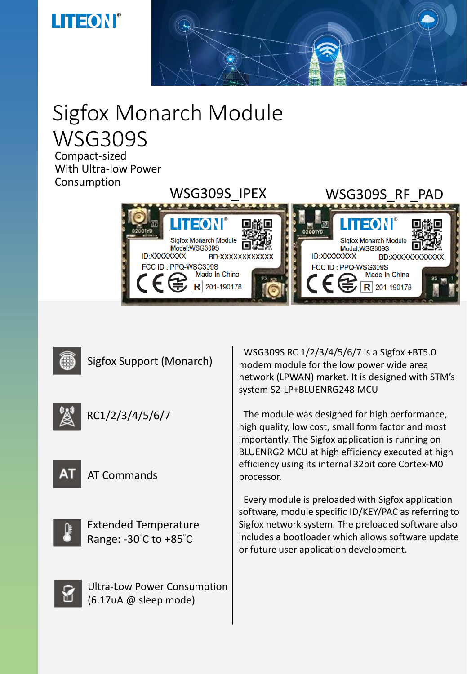### **THEON®**



# Sigfox Monarch Module WSG309S

Compact-sized With Ultra-low Power Consumption





Sigfox Support (Monarch)



RC1/2/3/4/5/6/7



AT Commands



Extended Temperature Range: -30°C to +85°C

Ultra-Low Power Consumption (6.17uA @ sleep mode)

WSG309S RC 1/2/3/4/5/6/7 is a Sigfox +BT5.0 modem module for the low power wide area network (LPWAN) market. It is designed with STM's system S2-LP+BLUENRG248 MCU

The module was designed for high performance, high quality, low cost, small form factor and most importantly. The Sigfox application is running on BLUENRG2 MCU at high efficiency executed at high efficiency using its internal 32bit core Cortex-M0 processor.

Every module is preloaded with Sigfox application software, module specific ID/KEY/PAC as referring to Sigfox network system. The preloaded software also includes a bootloader which allows software update or future user application development.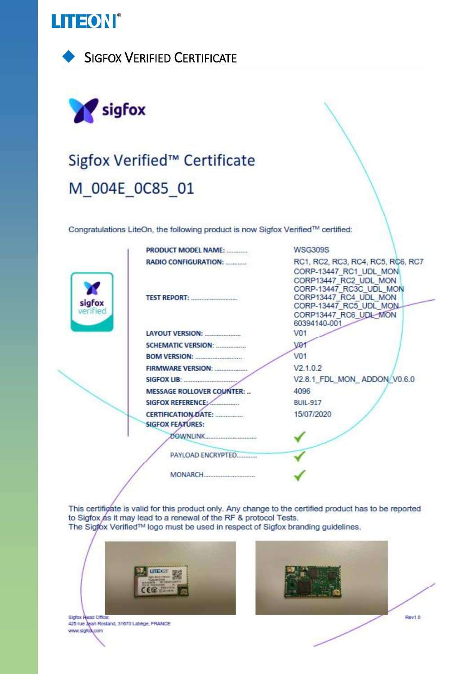





## Sigfox Verified™ Certificate M\_004E\_0C85\_01

Congratulations LiteOn, the following product is now Sigfox Verified™ certified:

|                    | PRODUCT MODEL NAME:                                                                                                                                                                                                            | <b>WSG309S</b>                                                                                                                               |
|--------------------|--------------------------------------------------------------------------------------------------------------------------------------------------------------------------------------------------------------------------------|----------------------------------------------------------------------------------------------------------------------------------------------|
|                    | <b>RADIO CONFIGURATION:</b>                                                                                                                                                                                                    | RC1, RC2, RC3, RC4, RC5, RC6, RC7<br>CORP-13447 RC1 UDL MON                                                                                  |
| sigfox<br>verified | <b>TEST REPORT:</b>                                                                                                                                                                                                            | CORP13447 RC2 UDL MON<br>CORP-13447_RC3C_UDL_MON<br>CORP13447 RC4 UDL MON<br>CORP-13447 RC5 UDL MON<br>CORP13447_RC6_UDL_MON<br>60394140-001 |
|                    |                                                                                                                                                                                                                                | V01                                                                                                                                          |
|                    | SCHEMATIC VERSION:                                                                                                                                                                                                             | VQ                                                                                                                                           |
|                    |                                                                                                                                                                                                                                | V01                                                                                                                                          |
|                    |                                                                                                                                                                                                                                | V2.1.0.2                                                                                                                                     |
|                    | SIGFOX LIB: And All Contract Contract Contract Contract Contract Contract Contract Contract Contract Contract Contract Contract Contract Contract Contract Contract Contract Contract Contract Contract Contract Contract Cont | V2.8.1_FDL_MON_ADDON/V0.6.0                                                                                                                  |
|                    | <b>MESSAGE ROLLOVER COUNTER: </b>                                                                                                                                                                                              | 4096                                                                                                                                         |
|                    | SIGFOX REFERENCE                                                                                                                                                                                                               | <b>BUIL-917</b>                                                                                                                              |
|                    | <b>CERTIFICATION DATE:</b>                                                                                                                                                                                                     | 15/07/2020                                                                                                                                   |
|                    | <b>SIGFOX FEATURES:</b>                                                                                                                                                                                                        |                                                                                                                                              |
|                    |                                                                                                                                                                                                                                |                                                                                                                                              |
|                    | PAYLOAD ENCRYPTED                                                                                                                                                                                                              |                                                                                                                                              |
|                    |                                                                                                                                                                                                                                |                                                                                                                                              |
|                    |                                                                                                                                                                                                                                |                                                                                                                                              |

This certificate is valid for this product only. Any change to the certified product has to be reported to Sigfox as it may lead to a renewal of the RF & protocol Tests. The Sigfox Verified™ logo must be used in respect of Sigfox branding guidelines.

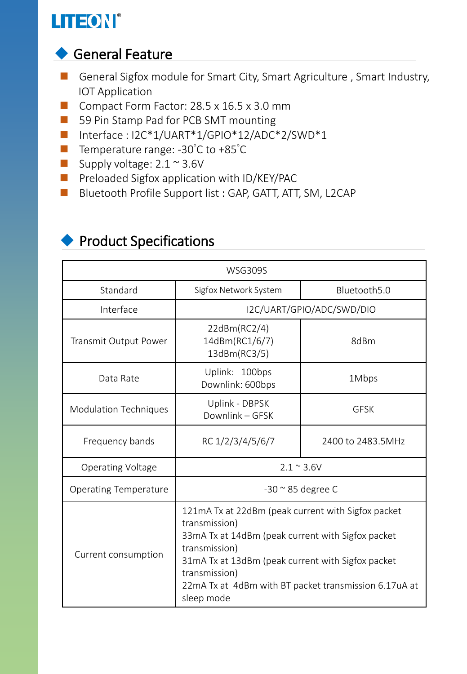### LITEON®

#### ◆ General Feature

- General Sigfox module for Smart City, Smart Agriculture, Smart Industry, IOT Application
- Compact Form Factor: 28.5 x 16.5 x 3.0 mm
- 59 Pin Stamp Pad for PCB SMT mounting
- Interface: I2C\*1/UART\*1/GPIO\*12/ADC\*2/SWD\*1
- Temperature range: -30°C to +85°C
- Supply voltage:  $2.1 \approx 3.6$ V
- Preloaded Sigfox application with ID/KEY/PAC
- Bluetooth Profile Support list : GAP, GATT, ATT, SM, L2CAP

| <b>WSG309S</b>               |                                                                                                                                                                                                                                                                                        |                   |  |  |
|------------------------------|----------------------------------------------------------------------------------------------------------------------------------------------------------------------------------------------------------------------------------------------------------------------------------------|-------------------|--|--|
| Standard                     | Sigfox Network System                                                                                                                                                                                                                                                                  | Bluetooth5.0      |  |  |
| Interface                    | I2C/UART/GPIO/ADC/SWD/DIO                                                                                                                                                                                                                                                              |                   |  |  |
| Transmit Output Power        | 22dBm(RC2/4)<br>14dBm(RC1/6/7)<br>13dBm(RC3/5)                                                                                                                                                                                                                                         | 8dBm              |  |  |
| Data Rate                    | Uplink: 100bps<br>Downlink: 600bps                                                                                                                                                                                                                                                     | 1Mbps             |  |  |
| <b>Modulation Techniques</b> | Uplink - DBPSK<br>Downlink - GFSK                                                                                                                                                                                                                                                      | <b>GESK</b>       |  |  |
| Frequency bands              | RC 1/2/3/4/5/6/7                                                                                                                                                                                                                                                                       | 2400 to 2483.5MHz |  |  |
| <b>Operating Voltage</b>     | $2.1 \approx 3.6 V$                                                                                                                                                                                                                                                                    |                   |  |  |
| <b>Operating Temperature</b> | $-30$ $\approx$ 85 degree C                                                                                                                                                                                                                                                            |                   |  |  |
| Current consumption          | 121mA Tx at 22dBm (peak current with Sigfox packet<br>transmission)<br>33mA Tx at 14dBm (peak current with Sigfox packet<br>transmission)<br>31mA Tx at 13dBm (peak current with Sigfox packet<br>transmission)<br>22mA Tx at 4dBm with BT packet transmission 6.17uA at<br>sleep mode |                   |  |  |

#### ◆ Product Specifications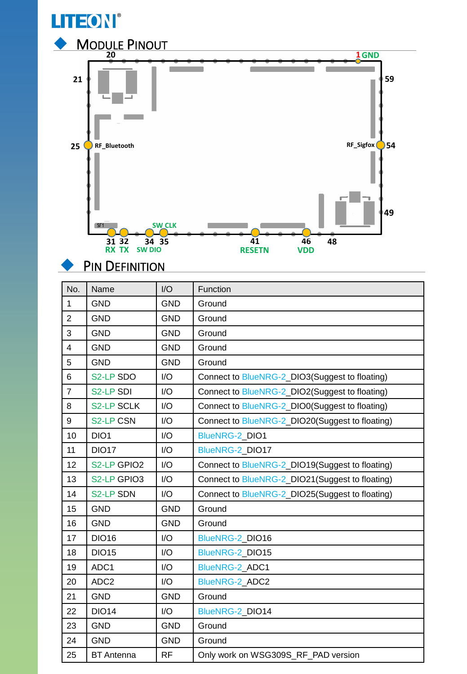

#### **PIN DEFINITION**

| No.            | Name              | I/O        | Function                                        |  |
|----------------|-------------------|------------|-------------------------------------------------|--|
| $\mathbf{1}$   | <b>GND</b>        | <b>GND</b> | Ground                                          |  |
| $\overline{2}$ | <b>GND</b>        | <b>GND</b> | Ground                                          |  |
| 3              | <b>GND</b>        | <b>GND</b> | Ground                                          |  |
| $\overline{4}$ | <b>GND</b>        | <b>GND</b> | Ground                                          |  |
| 5              | <b>GND</b>        | <b>GND</b> | Ground                                          |  |
| 6              | S2-LP SDO         | I/O        | Connect to BlueNRG-2_DIO3(Suggest to floating)  |  |
| $\overline{7}$ | S2-LP SDI         | I/O        | Connect to BlueNRG-2_DIO2(Suggest to floating)  |  |
| 8              | <b>S2-LP SCLK</b> | I/O        | Connect to BlueNRG-2_DIO0(Suggest to floating)  |  |
| 9              | <b>S2-LP CSN</b>  | I/O        | Connect to BlueNRG-2_DIO20(Suggest to floating) |  |
| 10             | DIO <sub>1</sub>  | I/O        | <b>BlueNRG-2 DIO1</b>                           |  |
| 11             | <b>DIO17</b>      | I/O        | BlueNRG-2 DIO17                                 |  |
| 12             | S2-LP GPIO2       | I/O        | Connect to BlueNRG-2_DIO19(Suggest to floating) |  |
| 13             | S2-LP GPIO3       | I/O        | Connect to BlueNRG-2_DIO21(Suggest to floating) |  |
| 14             | <b>S2-LP SDN</b>  | I/O        | Connect to BlueNRG-2_DIO25(Suggest to floating) |  |
| 15             | <b>GND</b>        | <b>GND</b> | Ground                                          |  |
| 16             | <b>GND</b>        | <b>GND</b> | Ground                                          |  |
| 17             | <b>DIO16</b>      | I/O        | BlueNRG-2 DIO16                                 |  |
| 18             | <b>DIO15</b>      | I/O        | BlueNRG-2 DIO15                                 |  |
| 19             | ADC1              | I/O        | BlueNRG-2_ADC1                                  |  |
| 20             | ADC <sub>2</sub>  | I/O        | <b>BlueNRG-2 ADC2</b>                           |  |
| 21             | <b>GND</b>        | <b>GND</b> | Ground                                          |  |
| 22             | <b>DIO14</b>      | I/O        | BlueNRG-2 DIO14                                 |  |
| 23             | <b>GND</b>        | <b>GND</b> | Ground                                          |  |
| 24             | <b>GND</b>        | <b>GND</b> | Ground                                          |  |
| 25             | <b>BT</b> Antenna | <b>RF</b>  | Only work on WSG309S_RF_PAD version             |  |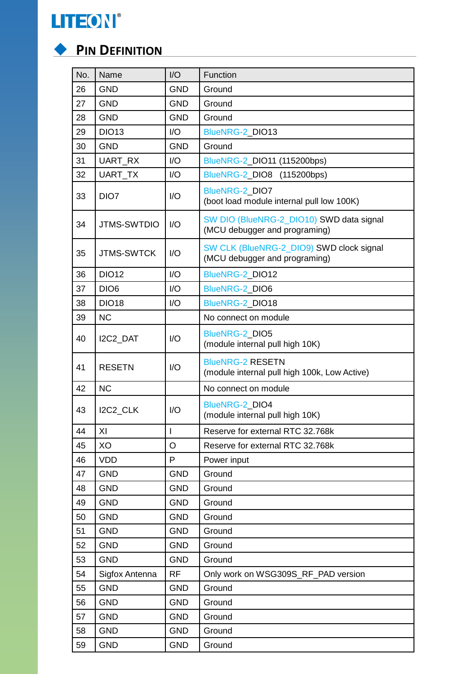



#### ◆ **PIN DEFINITION**

| No. | Name               | I/O        | Function                                                                  |
|-----|--------------------|------------|---------------------------------------------------------------------------|
| 26  | <b>GND</b>         | <b>GND</b> | Ground                                                                    |
| 27  | <b>GND</b>         | <b>GND</b> | Ground                                                                    |
| 28  | <b>GND</b>         | <b>GND</b> | Ground                                                                    |
| 29  | <b>DIO13</b>       | I/O        | BlueNRG-2_DIO13                                                           |
| 30  | <b>GND</b>         | <b>GND</b> | Ground                                                                    |
| 31  | UART_RX            | 1/O        | BlueNRG-2 DIO11 (115200bps)                                               |
| 32  | UART_TX            | I/O        | BlueNRG-2_DIO8 (115200bps)                                                |
| 33  | DIO <sub>7</sub>   | 1/O        | BlueNRG-2_DIO7<br>(boot load module internal pull low 100K)               |
| 34  | <b>JTMS-SWTDIO</b> | I/O        | SW DIO (BlueNRG-2_DIO10) SWD data signal<br>(MCU debugger and programing) |
| 35  | <b>JTMS-SWTCK</b>  | 1/O        | SW CLK (BlueNRG-2_DIO9) SWD clock signal<br>(MCU debugger and programing) |
| 36  | <b>DIO12</b>       | I/O        | BlueNRG-2_DIO12                                                           |
| 37  | DIO <sub>6</sub>   | 1/O        | BlueNRG-2_DIO6                                                            |
| 38  | <b>DIO18</b>       | I/O        | BlueNRG-2_DIO18                                                           |
| 39  | <b>NC</b>          |            | No connect on module                                                      |
| 40  | I2C2_DAT           | 1/O        | <b>BlueNRG-2 DIO5</b><br>(module internal pull high 10K)                  |
| 41  | <b>RESETN</b>      | 1/O        | <b>BlueNRG-2 RESETN</b><br>(module internal pull high 100k, Low Active)   |
| 42  | <b>NC</b>          |            | No connect on module                                                      |
| 43  | I2C2 CLK           | I/O        | BlueNRG-2_DIO4<br>(module internal pull high 10K)                         |
| 44  | XI                 | I          | Reserve for external RTC 32.768k                                          |
| 45  | XO                 | O          | Reserve for external RTC 32.768k                                          |
| 46  | <b>VDD</b>         | P          | Power input                                                               |
| 47  | <b>GND</b>         | <b>GND</b> | Ground                                                                    |
| 48  | <b>GND</b>         | <b>GND</b> | Ground                                                                    |
| 49  | <b>GND</b>         | <b>GND</b> | Ground                                                                    |
| 50  | <b>GND</b>         | <b>GND</b> | Ground                                                                    |
| 51  | <b>GND</b>         | <b>GND</b> | Ground                                                                    |
| 52  | <b>GND</b>         | <b>GND</b> | Ground                                                                    |
| 53  | <b>GND</b>         | <b>GND</b> | Ground                                                                    |
| 54  | Sigfox Antenna     | <b>RF</b>  | Only work on WSG309S_RF_PAD version                                       |
| 55  | <b>GND</b>         | <b>GND</b> | Ground                                                                    |
| 56  | <b>GND</b>         | <b>GND</b> | Ground                                                                    |
| 57  | <b>GND</b>         | <b>GND</b> | Ground                                                                    |
| 58  | <b>GND</b>         | <b>GND</b> | Ground                                                                    |
| 59  | <b>GND</b>         | <b>GND</b> | Ground                                                                    |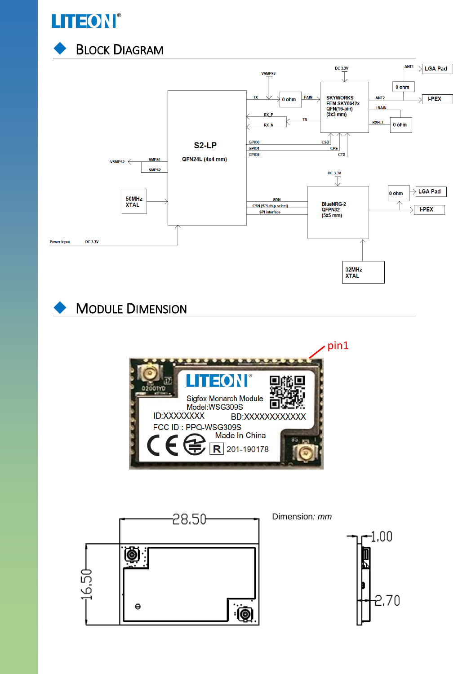

**BLOCK DIAGRAM** 



**MODULE DIMENSION** 



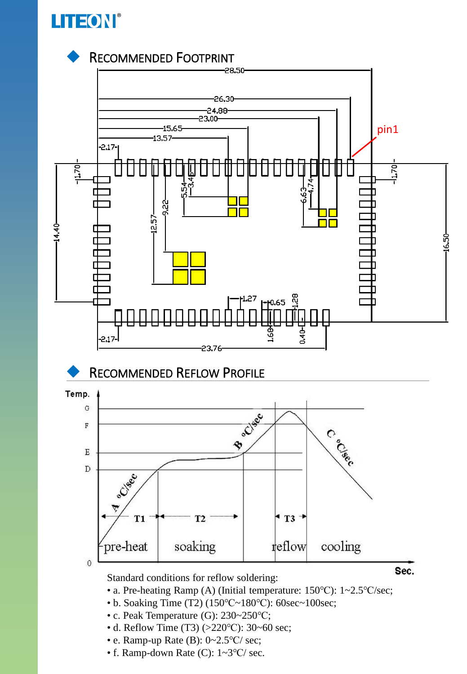



- c. Peak Temperature (G): 230~250℃;
- d. Reflow Time (T3) (>220℃): 30~60 sec;
- e. Ramp-up Rate (B): 0~2.5℃/ sec;
- f. Ramp-down Rate (C): 1~3℃/ sec.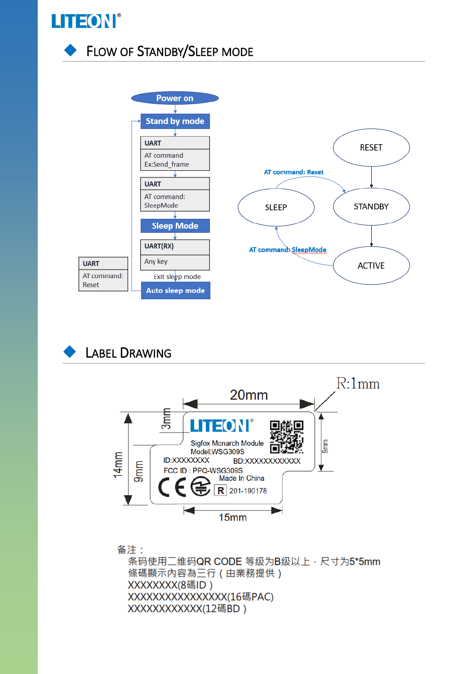

**FLOW OF STANDBY/SLEEP MODE** 



#### **LABEL DRAWING**



备注: 条码使用二维码QR CODE 等级为B级以上, 尺寸为5\*5mm 條碼顯示內容為三行 (由業務提供) XXXXXXX(8碼ID) XXXXXXXXXXXXXXX(16碼PAC) XXXXXXXXXXX(12碼BD)